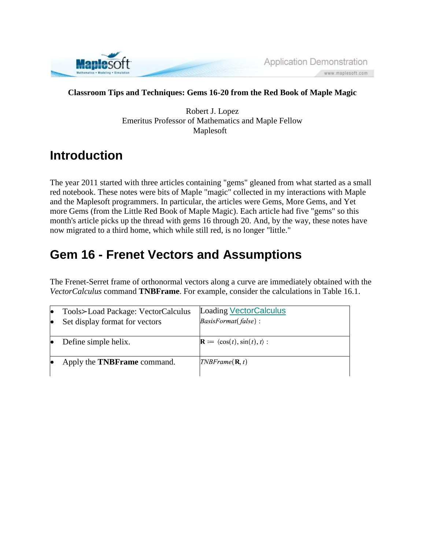

Application Demonstration www.maplesoft.com

#### **Classroom Tips and Techniques: Gems 16-20 from the Red Book of Maple Magic**

Robert J. Lopez Emeritus Professor of Mathematics and Maple Fellow Maplesoft

### **Introduction**

The year 2011 started with three articles containing "gems" gleaned from what started as a small red notebook. These notes were bits of Maple "magic" collected in my interactions with Maple and the Maplesoft programmers. In particular, the articles were Gems, More Gems, and Yet more Gems (from the Little Red Book of Maple Magic). Each article had five "gems" so this month's article picks up the thread with gems 16 through 20. And, by the way, these notes have now migrated to a third home, which while still red, is no longer "little."

## **Gem 16 - Frenet Vectors and Assumptions**

The Frenet-Serret frame of orthonormal vectors along a curve are immediately obtained with the *VectorCalculus* command **TNBFrame**. For example, consider the calculations in Table 16.1.

| le        | Tools>Load Package: VectorCalculus | <b>Loading VectorCalculus</b>                         |
|-----------|------------------------------------|-------------------------------------------------------|
| $\bullet$ | Set display format for vectors     | $BasisFormat(false)$ :                                |
|           |                                    |                                                       |
|           | Define simple helix.               | $\mathbf{R} := \langle \cos(t), \sin(t), t \rangle$ : |
|           |                                    |                                                       |
| le        | Apply the <b>TNBFrame</b> command. | $\textit{TNBF}$ rame $(\mathbf{R}, t)$                |
|           |                                    |                                                       |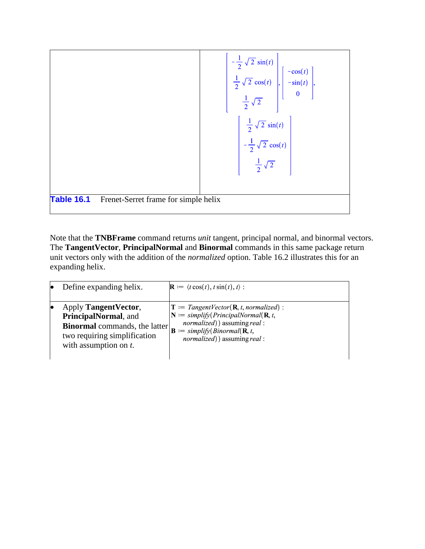

Note that the **TNBFrame** command returns *unit* tangent, principal normal, and binormal vectors. The **TangentVector**, **PrincipalNormal** and **Binormal** commands in this same package return unit vectors only with the addition of the *normalized* option. Table 16.2 illustrates this for an expanding helix.

| Define expanding helix.                                                                                                                           | $\mathbf{R} := \langle t \cos(t), t \sin(t), t \rangle$ :                                                                                                                                                                                                                 |
|---------------------------------------------------------------------------------------------------------------------------------------------------|---------------------------------------------------------------------------------------------------------------------------------------------------------------------------------------------------------------------------------------------------------------------------|
| Apply Tangent Vector,<br>PrincipalNormal, and<br><b>Binormal</b> commands, the latter<br>two requiring simplification<br>with assumption on $t$ . | $\mathbf{T} := TangentVector(\mathbf{R}, t, normalized):$<br>$\mathbf{N} :=$ simplify(PrincipalNormal( $\mathbf{R}, t$ ,<br><i>normalized</i> ) assuming <i>real</i> :<br>$\mathbf{B} := simplify(Binormal(\mathbf{R}, t))$<br><i>normalized</i> ) assuming <i>real</i> : |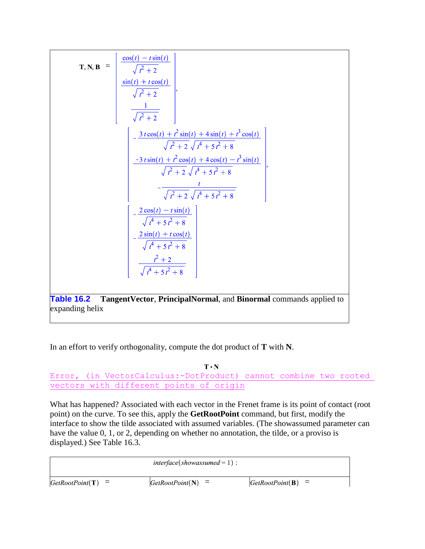$$
\mathbf{T}, \mathbf{N}, \mathbf{B} = \begin{bmatrix} \frac{\cos(t) - t \sin(t)}{\sqrt{t^2 + 2}} \\ \frac{\sin(t) + t \cos(t)}{\sqrt{t^2 + 2}} \\ \frac{1}{\sqrt{t^2 + 2}} \end{bmatrix},
$$
  
\n
$$
\frac{1}{\sqrt{t^2 + 2}} \begin{bmatrix} \frac{3 \cos(t) + t^2 \sin(t) + 4 \sin(t) + t^3 \cos(t)}{\sqrt{t^2 + 2} \sqrt{t^4 + 5t^2 + 8}} \\ \frac{-3t \sin(t) + t^2 \cos(t) + 4 \cos(t) - t^3 \sin(t)}{\sqrt{t^2 + 2} \sqrt{t^4 + 5t^2 + 8}} \\ - \frac{t}{\sqrt{t^2 + 2} \sqrt{t^4 + 5t^2 + 8}} \end{bmatrix},
$$
  
\n
$$
\frac{1}{\sqrt{t^2 + 2} \sqrt{t^4 + 5t^2 + 8}} \begin{bmatrix} -\frac{2 \cos(t) - t \sin(t)}{\sqrt{t^4 + 5t^2 + 8}} \\ -\frac{2 \sin(t) + t \cos(t)}{\sqrt{t^4 + 5t^2 + 8}} \\ \frac{t^2 + 2}{\sqrt{t^4 + 5t^2 + 8}} \end{bmatrix}
$$
  
\n**Table 16.2 TangentVector, PrincipalNormal, and Binormal commands applied to expanding helix**

In an effort to verify orthogonality, compute the dot product of **T** with **N**.

 $T \cdot N$ Error, (in VectorCalculus:-DotProduct) cannot combine two rooted vectors with different points of origin

What has happened? Associated with each vector in the Frenet frame is its point of contact (root point) on the curve. To see this, apply the **GetRootPoint** command, but first, modify the interface to show the tilde associated with assumed variables. (The showassumed parameter can have the value 0, 1, or 2, depending on whether no annotation, the tilde, or a proviso is displayed.) See Table 16.3.

|                       | $interface(showassumed = 1)$ : |                     |
|-----------------------|--------------------------------|---------------------|
| $[GetRootPoint(T)] =$ | $GetRootPoint(N) =$            | $GetRootPoint(B) =$ |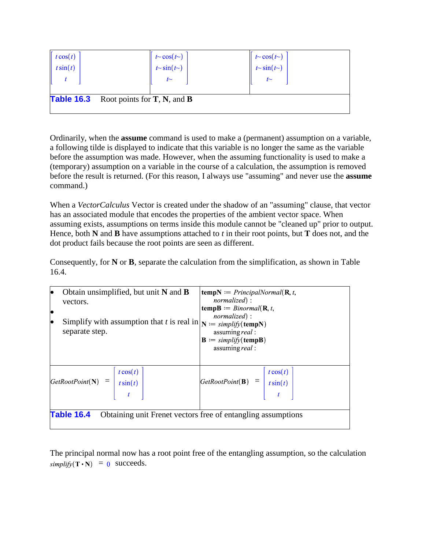| $\begin{bmatrix} t \cos(t) \\ t \sin(t) \end{bmatrix}$ |                                                  |                                                |
|--------------------------------------------------------|--------------------------------------------------|------------------------------------------------|
|                                                        | $t \sim \cos(t \sim)$<br>$t \sim \sin(t \sim)$   | $t \sim \cos(t \sim)$<br>$t \sim \sin(t \sim)$ |
|                                                        | $t$ ~                                            | $t$ ~                                          |
|                                                        |                                                  |                                                |
|                                                        | <b>Table 16.3</b> Root points for $T$ , N, and B |                                                |
|                                                        |                                                  |                                                |

Ordinarily, when the **assume** command is used to make a (permanent) assumption on a variable, a following tilde is displayed to indicate that this variable is no longer the same as the variable before the assumption was made. However, when the assuming functionality is used to make a (temporary) assumption on a variable in the course of a calculation, the assumption is removed before the result is returned. (For this reason, I always use "assuming" and never use the **assume** command.)

When a *VectorCalculus* Vector is created under the shadow of an "assuming" clause, that vector has an associated module that encodes the properties of the ambient vector space. When assuming exists, assumptions on terms inside this module cannot be "cleaned up" prior to output. Hence, both **N** and **B** have assumptions attached to *t* in their root points, but **T** does not, and the dot product fails because the root points are seen as different.

Consequently, for **N** or **B**, separate the calculation from the simplification, as shown in Table 16.4.

| Obtain unsimplified, but unit $N$ and $B$<br>lo<br>vectors.<br>lo<br>Simplify with assumption that t is real in $ N  := \frac{simplify(tempN)}{S}$<br>$\bullet$<br>separate step. | <b>tempN</b> := <i>PrincipalNormal</i> ( $\mathbf{R}, t$ ,<br><i>normalized</i> ) :<br><b>tempB</b> := $Binormal(\mathbf{R}, t,$<br><i>normalized</i> ) :<br>assuming real:<br>$\mathbf{B} := simplify(\mathbf{tempB})$<br>assuming real: |  |
|-----------------------------------------------------------------------------------------------------------------------------------------------------------------------------------|-------------------------------------------------------------------------------------------------------------------------------------------------------------------------------------------------------------------------------------------|--|
| $\begin{vmatrix} \frac{t \cos(t)}{t \sin(t)} \end{vmatrix}$                                                                                                                       | $\begin{bmatrix} GetRootPoint(\mathbf{B}) & = & t \cos(t) \\ t \sin(t) & t \end{bmatrix}$                                                                                                                                                 |  |
| <b>Table 16.4</b><br>Obtaining unit Frenet vectors free of entangling assumptions                                                                                                 |                                                                                                                                                                                                                                           |  |

The principal normal now has a root point free of the entangling assumption, so the calculation  $simplify(\mathbf{T} \cdot \mathbf{N}) = 0$  succeeds.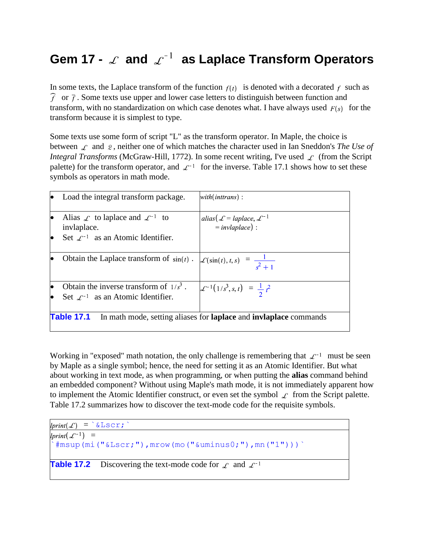# Gem 17 -  $\measuredangle$  and  $\measuredangle^{-1}$  as Laplace Transform Operators

In some texts, the Laplace transform of the function  $f(t)$  is denoted with a decorated f such as  $\widehat{f}$  or  $\overline{f}$ . Some texts use upper and lower case letters to distinguish between function and transform, with no standardization on which case denotes what. I have always used  $F(s)$  for the transform because it is simplest to type.

Some texts use some form of script "L" as the transform operator. In Maple, the choice is between  $\mathcal{L}$  and  $\mathcal{L}$ , neither one of which matches the character used in Ian Sneddon's *The Use of Integral Transforms* (McGraw-Hill, 1772). In some recent writing, I've used  $\mathcal{L}$  (from the Script palette) for the transform operator, and  $\mathcal{L}^{-1}$  for the inverse. Table 17.1 shows how to set these symbols as operators in math mode.

|                                                                                                      | Load the integral transform package.                                                                                     | with(inttrans):                                                          |
|------------------------------------------------------------------------------------------------------|--------------------------------------------------------------------------------------------------------------------------|--------------------------------------------------------------------------|
|                                                                                                      | Alias $\mathcal L$ to laplace and $\mathcal L^{-1}$ to<br>invlaplace.<br>Set $\mathcal{L}^{-1}$ as an Atomic Identifier. | alias( $\mathcal{L} = laplace, \mathcal{L}^{-1}$<br>$=$ invlaplace $)$ : |
|                                                                                                      | Obtain the Laplace transform of $sin(t)$ .                                                                               | $\mathcal{L}(\sin(t), t, s) = \frac{1}{s^2 + 1}$                         |
|                                                                                                      | Obtain the inverse transform of $1/s^3$ .<br>Set $\mathcal{L}^{-1}$ as an Atomic Identifier.                             | $\mathcal{L}^{-1}(1/s^3, s, t) = \frac{1}{2}t^2$                         |
| <b>Table 17.1</b><br>In math mode, setting aliases for <b>laplace</b> and <b>inviaplace</b> commands |                                                                                                                          |                                                                          |

Working in "exposed" math notation, the only challenge is remembering that  $\mathcal{L}^{-1}$  must be seen by Maple as a single symbol; hence, the need for setting it as an Atomic Identifier. But what about working in text mode, as when programming, or when putting the **alias** command behind an embedded component? Without using Maple's math mode, it is not immediately apparent how to implement the Atomic Identifier construct, or even set the symbol  $\mathcal{L}$  from the Script palette. Table 17.2 summarizes how to discover the text-mode code for the requisite symbols.

```
lprint(\mathcal{L}) = \delta \text{Lscr};\text{limit}(\mathcal{L}^{-1}) =#msup(mi("ℒ"),mrow(mo("&uminus0;"),mn("1")))`
Table 17.2 Discovering the text-mode code for \mathcal{L} and \mathcal{L}^{-1}
```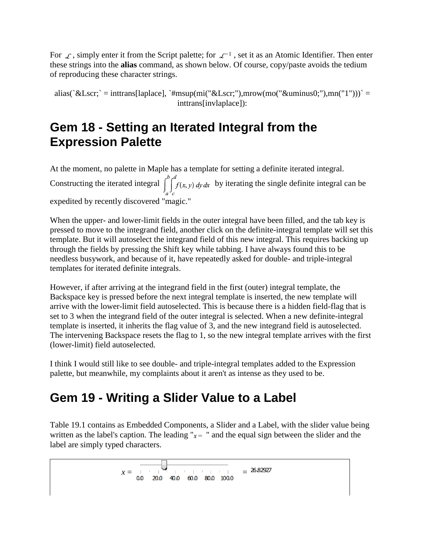For  $\mathcal{L}$ , simply enter it from the Script palette; for  $\mathcal{L}^{-1}$ , set it as an Atomic Identifier. Then enter these strings into the **alias** command, as shown below. Of course, copy/paste avoids the tedium of reproducing these character strings.

alias(`ℒ` = inttrans[laplace], `#msup(mi("ℒ"),mrow(mo("&uminus0;"),mn("1")))` = inttrans[invlaplace]):

## **Gem 18 - Setting an Iterated Integral from the Expression Palette**

At the moment, no palette in Maple has a template for setting a definite iterated integral. Constructing the iterated integral  $\int_{a}^{b} \int_{f(x, y) dy dx}^{d}$  by iterating the single definite integral can be expedited by recently discovered "magic."

When the upper- and lower-limit fields in the outer integral have been filled, and the tab key is pressed to move to the integrand field, another click on the definite-integral template will set this template. But it will autoselect the integrand field of this new integral. This requires backing up through the fields by pressing the Shift key while tabbing. I have always found this to be needless busywork, and because of it, have repeatedly asked for double- and triple-integral templates for iterated definite integrals.

However, if after arriving at the integrand field in the first (outer) integral template, the Backspace key is pressed before the next integral template is inserted, the new template will arrive with the lower-limit field autoselected. This is because there is a hidden field-flag that is set to 3 when the integrand field of the outer integral is selected. When a new definite-integral template is inserted, it inherits the flag value of 3, and the new integrand field is autoselected. The intervening Backspace resets the flag to 1, so the new integral template arrives with the first (lower-limit) field autoselected.

I think I would still like to see double- and triple-integral templates added to the Expression palette, but meanwhile, my complaints about it aren't as intense as they used to be.

## **Gem 19 - Writing a Slider Value to a Label**

Table 19.1 contains as Embedded Components, a Slider and a Label, with the slider value being written as the label's caption. The leading " $x =$  " and the equal sign between the slider and the label are simply typed characters.

*x* = = 26.82927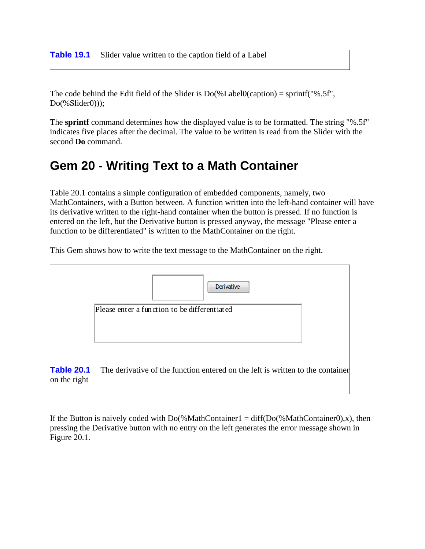**Table 19.1** Slider value written to the caption field of a Label

The code behind the Edit field of the Slider is  $Do(%Label0(caption) = sprint("% .5f",$ Do(%Slider0)));

The **sprintf** command determines how the displayed value is to be formatted. The string "%.5f" indicates five places after the decimal. The value to be written is read from the Slider with the second **Do** command.

## **Gem 20 - Writing Text to a Math Container**

Table 20.1 contains a simple configuration of embedded components, namely, two MathContainers, with a Button between. A function written into the left-hand container will have its derivative written to the right-hand container when the button is pressed. If no function is entered on the left, but the Derivative button is pressed anyway, the message "Please enter a function to be differentiated" is written to the MathContainer on the right.

This Gem shows how to write the text message to the MathContainer on the right.



If the Button is naively coded with  $Do(\%MathContainer1 = diff(Do(\%MathContainer0),x)$ , then pressing the Derivative button with no entry on the left generates the error message shown in Figure 20.1.